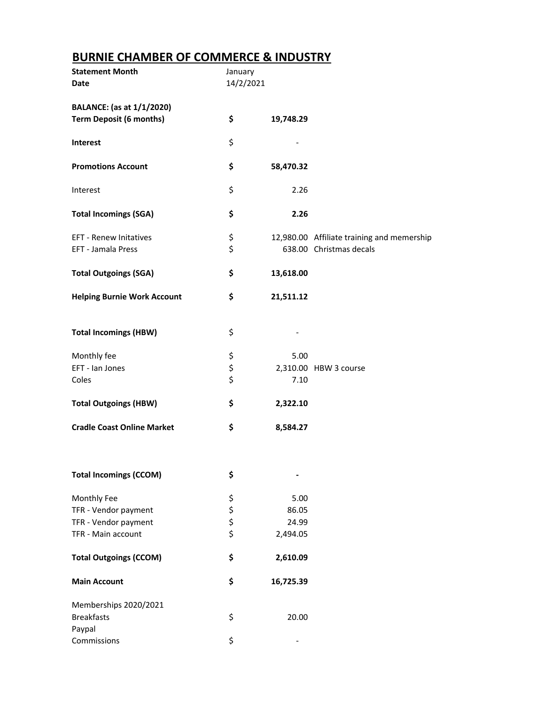## **BURNIE CHAMBER OF COMMERCE & INDUSTRY**

| <b>Statement Month</b><br>Date     | January<br>14/2/2021 |                              |                                            |
|------------------------------------|----------------------|------------------------------|--------------------------------------------|
| <b>BALANCE:</b> (as at 1/1/2020)   |                      |                              |                                            |
| <b>Term Deposit (6 months)</b>     | \$                   | 19,748.29                    |                                            |
| Interest                           | \$                   |                              |                                            |
| <b>Promotions Account</b>          | \$                   | 58,470.32                    |                                            |
| Interest                           | \$                   | 2.26                         |                                            |
| <b>Total Incomings (SGA)</b>       | \$                   | 2.26                         |                                            |
| EFT - Renew Initatives             | \$                   |                              | 12,980.00 Affiliate training and memership |
| EFT - Jamala Press                 | \$                   |                              | 638.00 Christmas decals                    |
| <b>Total Outgoings (SGA)</b>       | \$                   | 13,618.00                    |                                            |
| <b>Helping Burnie Work Account</b> | \$                   | 21,511.12                    |                                            |
| <b>Total Incomings (HBW)</b>       | \$                   |                              |                                            |
| Monthly fee                        |                      | 5.00                         |                                            |
| EFT - Ian Jones                    | \$<br>\$<br>\$       |                              | 2,310.00 HBW 3 course                      |
| Coles                              |                      | 7.10                         |                                            |
| <b>Total Outgoings (HBW)</b>       | \$                   | 2,322.10                     |                                            |
| <b>Cradle Coast Online Market</b>  | \$                   | 8,584.27                     |                                            |
|                                    |                      |                              |                                            |
| <b>Total Incomings (CCOM)</b>      | \$                   | $\qquad \qquad \blacksquare$ |                                            |
| Monthly Fee                        |                      | 5.00                         |                                            |
| TFR - Vendor payment               |                      | 86.05                        |                                            |
| TFR - Vendor payment               | \$\$\$\$             | 24.99                        |                                            |
| TFR - Main account                 |                      | 2,494.05                     |                                            |
| <b>Total Outgoings (CCOM)</b>      | \$                   | 2,610.09                     |                                            |
| <b>Main Account</b>                | \$                   | 16,725.39                    |                                            |
| Memberships 2020/2021              |                      |                              |                                            |
| <b>Breakfasts</b>                  | \$                   | 20.00                        |                                            |
| Paypal                             |                      |                              |                                            |
| Commissions                        | \$                   |                              |                                            |